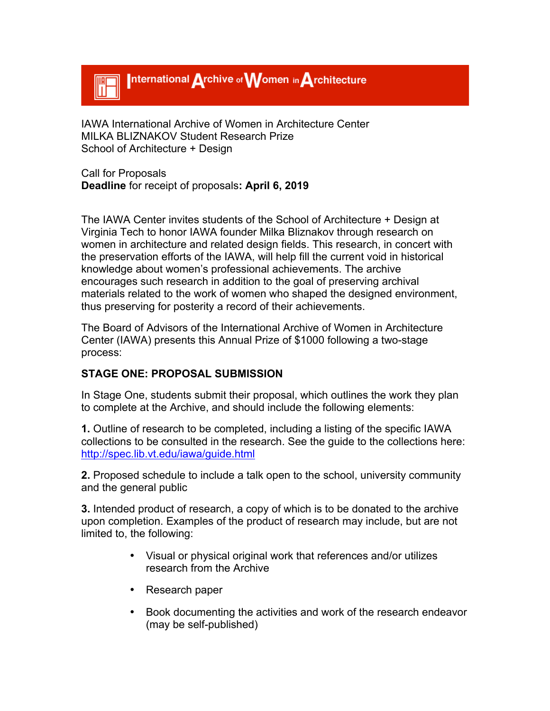

IAWA International Archive of Women in Architecture Center MILKA BLIZNAKOV Student Research Prize School of Architecture + Design

Call for Proposals **Deadline** for receipt of proposals**: April 6, 2019**

The IAWA Center invites students of the School of Architecture + Design at Virginia Tech to honor IAWA founder Milka Bliznakov through research on women in architecture and related design fields. This research, in concert with the preservation efforts of the IAWA, will help fill the current void in historical knowledge about women's professional achievements. The archive encourages such research in addition to the goal of preserving archival materials related to the work of women who shaped the designed environment, thus preserving for posterity a record of their achievements.

The Board of Advisors of the International Archive of Women in Architecture Center (IAWA) presents this Annual Prize of \$1000 following a two-stage process:

## **STAGE ONE: PROPOSAL SUBMISSION**

In Stage One, students submit their proposal, which outlines the work they plan to complete at the Archive, and should include the following elements:

**1.** Outline of research to be completed, including a listing of the specific IAWA collections to be consulted in the research. See the guide to the collections here: http://spec.lib.vt.edu/iawa/guide.html

**2.** Proposed schedule to include a talk open to the school, university community and the general public

**3.** Intended product of research, a copy of which is to be donated to the archive upon completion. Examples of the product of research may include, but are not limited to, the following:

- Visual or physical original work that references and/or utilizes research from the Archive
- Research paper
- Book documenting the activities and work of the research endeavor (may be self-published)